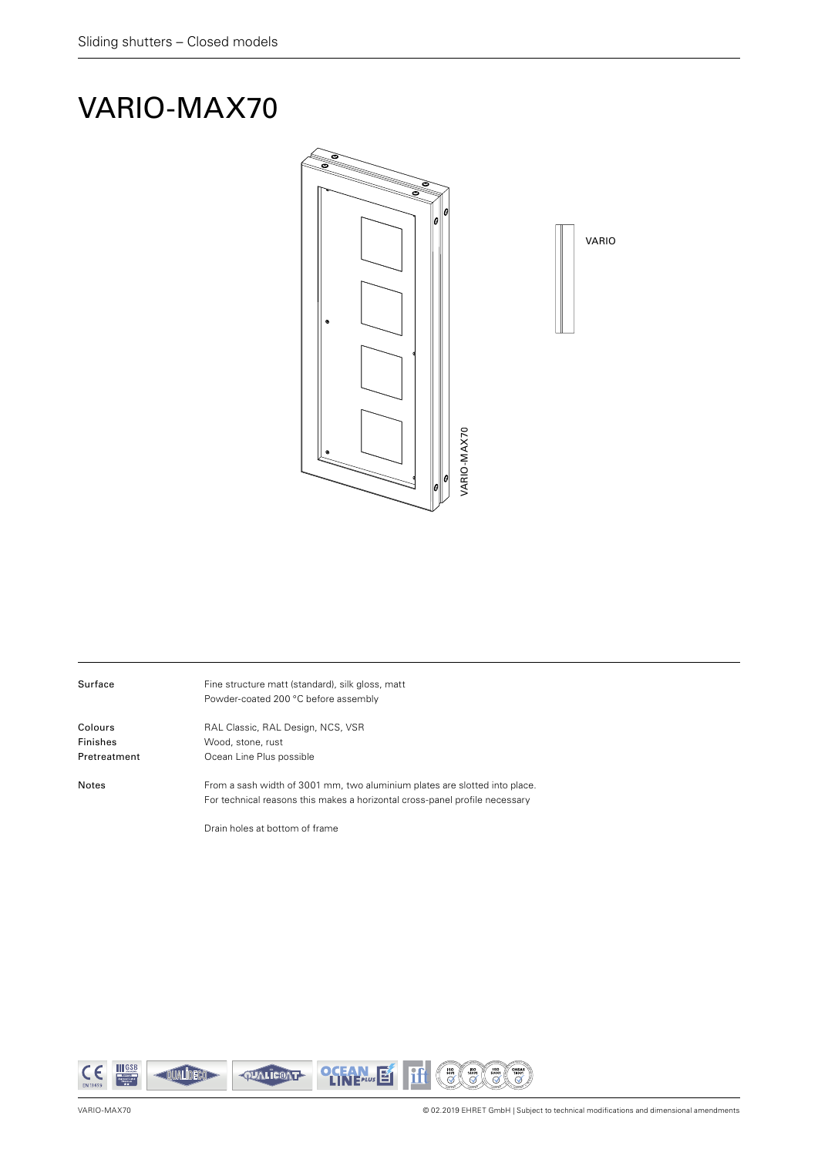## VARIO-MAX70



| Surface      | Fine structure matt (standard), silk gloss, matt<br>Powder-coated 200 °C before assembly                                                                  |
|--------------|-----------------------------------------------------------------------------------------------------------------------------------------------------------|
| Colours      | RAL Classic, RAL Design, NCS, VSR                                                                                                                         |
| Finishes     | Wood, stone, rust                                                                                                                                         |
| Pretreatment | Ocean Line Plus possible                                                                                                                                  |
| <b>Notes</b> | From a sash width of 3001 mm, two aluminium plates are slotted into place.<br>For technical reasons this makes a horizontal cross-panel profile necessary |

Drain holes at bottom of frame